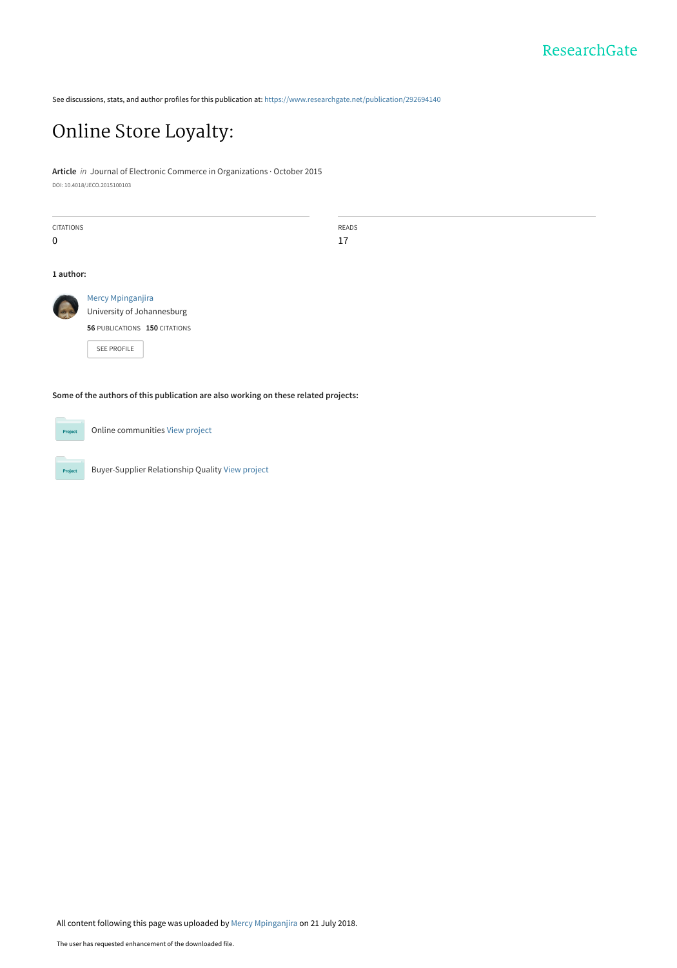See discussions, stats, and author profiles for this publication at: [https://www.researchgate.net/publication/292694140](https://www.researchgate.net/publication/292694140_Online_Store_Loyalty?enrichId=rgreq-cad842522ffd60290fa1d764344feacc-XXX&enrichSource=Y292ZXJQYWdlOzI5MjY5NDE0MDtBUzo2NTA5MDY0NjcwNTc2NjRAMTUzMjE5OTYwMzEzOQ%3D%3D&el=1_x_2&_esc=publicationCoverPdf)

## [Online Store Loyalty:](https://www.researchgate.net/publication/292694140_Online_Store_Loyalty?enrichId=rgreq-cad842522ffd60290fa1d764344feacc-XXX&enrichSource=Y292ZXJQYWdlOzI5MjY5NDE0MDtBUzo2NTA5MDY0NjcwNTc2NjRAMTUzMjE5OTYwMzEzOQ%3D%3D&el=1_x_3&_esc=publicationCoverPdf)

**Article** in Journal of Electronic Commerce in Organizations · October 2015 DOI: 10.4018/JECO.2015100103

| <b>CITATIONS</b> |                                                 | READS |  |
|------------------|-------------------------------------------------|-------|--|
| $\mathbf 0$      |                                                 | 17    |  |
|                  |                                                 |       |  |
| 1 author:        |                                                 |       |  |
|                  | Mercy Mpinganjira<br>University of Johannesburg |       |  |
|                  | 56 PUBLICATIONS 150 CITATIONS                   |       |  |
|                  | <b>SEE PROFILE</b>                              |       |  |
|                  |                                                 |       |  |
|                  |                                                 |       |  |

**Some of the authors of this publication are also working on these related projects:**



Online communities [View project](https://www.researchgate.net/project/Online-communities-3?enrichId=rgreq-cad842522ffd60290fa1d764344feacc-XXX&enrichSource=Y292ZXJQYWdlOzI5MjY5NDE0MDtBUzo2NTA5MDY0NjcwNTc2NjRAMTUzMjE5OTYwMzEzOQ%3D%3D&el=1_x_9&_esc=publicationCoverPdf)

Buyer-Supplier Relationship Quality [View project](https://www.researchgate.net/project/Buyer-Supplier-Relationship-Quality?enrichId=rgreq-cad842522ffd60290fa1d764344feacc-XXX&enrichSource=Y292ZXJQYWdlOzI5MjY5NDE0MDtBUzo2NTA5MDY0NjcwNTc2NjRAMTUzMjE5OTYwMzEzOQ%3D%3D&el=1_x_9&_esc=publicationCoverPdf)

All content following this page was uploaded by [Mercy Mpinganjira](https://www.researchgate.net/profile/Mercy_Mpinganjira?enrichId=rgreq-cad842522ffd60290fa1d764344feacc-XXX&enrichSource=Y292ZXJQYWdlOzI5MjY5NDE0MDtBUzo2NTA5MDY0NjcwNTc2NjRAMTUzMjE5OTYwMzEzOQ%3D%3D&el=1_x_10&_esc=publicationCoverPdf) on 21 July 2018.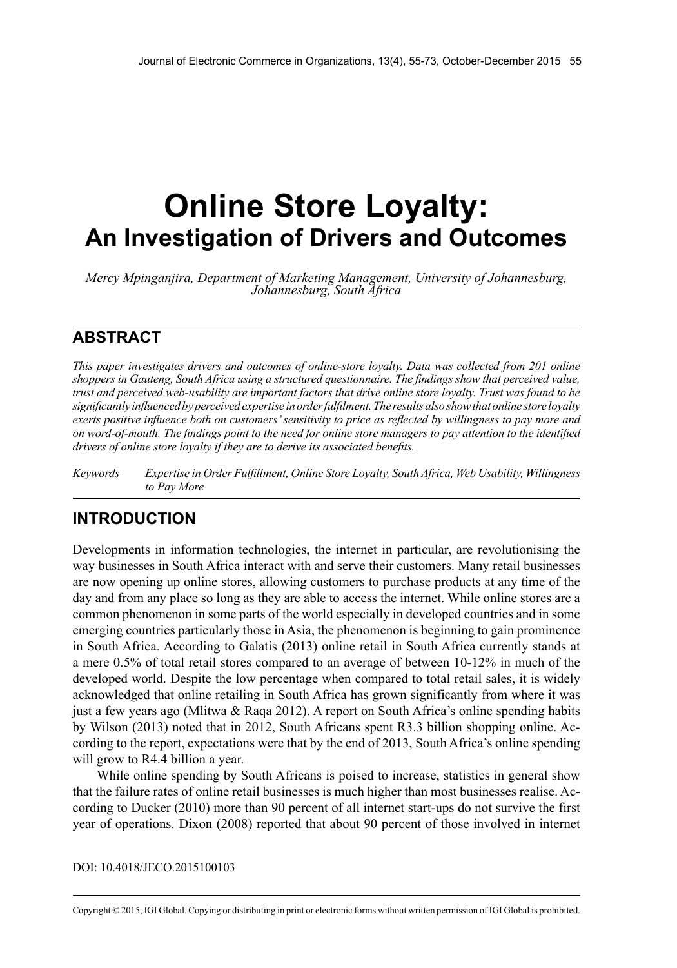# **Online Store Loyalty: An Investigation of Drivers and Outcomes**

*Mercy Mpinganjira, Department of Marketing Management, University of Johannesburg, Johannesburg, South Africa*

## **ABSTRACT**

*This paper investigates drivers and outcomes of online-store loyalty. Data was collected from 201 online shoppers in Gauteng, South Africa using a structured questionnaire. The findings show that perceived value,* trust and perceived web-usability are important factors that drive online store loyalty. Trust was found to be *significantly influencedbyperceivedexpertise inorderfulfilment.The resultsalsoshowthatonline store loyalty exerts positive influence both on customers'sensitivity to price as reflected by willingness to pay more and* on word-of-mouth. The findings point to the need for online store managers to pay attention to the identified *drivers of online store loyalty if they are to derive its associated benefits.*

*Keywords Expertise in Order Fulfillment, Online Store Loyalty, South Africa, Web Usability, Willingness to Pay More*

## **INTRODUCTION**

Developments in information technologies, the internet in particular, are revolutionising the way businesses in South Africa interact with and serve their customers. Many retail businesses are now opening up online stores, allowing customers to purchase products at any time of the day and from any place so long as they are able to access the internet. While online stores are a common phenomenon in some parts of the world especially in developed countries and in some emerging countries particularly those in Asia, the phenomenon is beginning to gain prominence in South Africa. According to Galatis (2013) online retail in South Africa currently stands at a mere 0.5% of total retail stores compared to an average of between 10-12% in much of the developed world. Despite the low percentage when compared to total retail sales, it is widely acknowledged that online retailing in South Africa has grown significantly from where it was just a few years ago (Mlitwa & Raqa 2012). A report on South Africa's online spending habits by Wilson (2013) noted that in 2012, South Africans spent R3.3 billion shopping online. According to the report, expectations were that by the end of 2013, South Africa's online spending will grow to R4.4 billion a year.

While online spending by South Africans is poised to increase, statistics in general show that the failure rates of online retail businesses is much higher than most businesses realise. According to Ducker (2010) more than 90 percent of all internet start-ups do not survive the first year of operations. Dixon (2008) reported that about 90 percent of those involved in internet

DOI: 10.4018/JECO.2015100103

Copyright © 2015, IGI Global. Copying or distributing in print or electronic forms without written permission of IGI Global is prohibited.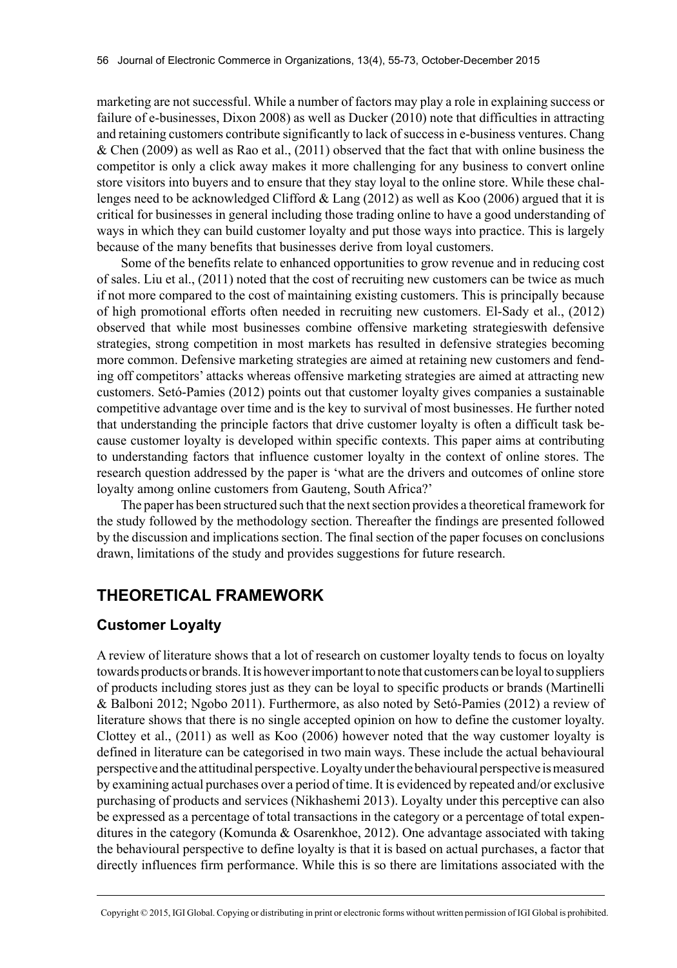marketing are not successful. While a number of factors may play a role in explaining success or failure of e-businesses, Dixon 2008) as well as Ducker (2010) note that difficulties in attracting and retaining customers contribute significantly to lack of success in e-business ventures. Chang & Chen (2009) as well as Rao et al., (2011) observed that the fact that with online business the competitor is only a click away makes it more challenging for any business to convert online store visitors into buyers and to ensure that they stay loyal to the online store. While these challenges need to be acknowledged Clifford & Lang (2012) as well as Koo (2006) argued that it is critical for businesses in general including those trading online to have a good understanding of ways in which they can build customer loyalty and put those ways into practice. This is largely because of the many benefits that businesses derive from loyal customers.

Some of the benefits relate to enhanced opportunities to grow revenue and in reducing cost of sales. Liu et al., (2011) noted that the cost of recruiting new customers can be twice as much if not more compared to the cost of maintaining existing customers. This is principally because of high promotional efforts often needed in recruiting new customers. El-Sady et al., (2012) observed that while most businesses combine offensive marketing strategieswith defensive strategies, strong competition in most markets has resulted in defensive strategies becoming more common. Defensive marketing strategies are aimed at retaining new customers and fending off competitors' attacks whereas offensive marketing strategies are aimed at attracting new customers. Setó-Pamies (2012) points out that customer loyalty gives companies a sustainable competitive advantage over time and is the key to survival of most businesses. He further noted that understanding the principle factors that drive customer loyalty is often a difficult task because customer loyalty is developed within specific contexts. This paper aims at contributing to understanding factors that influence customer loyalty in the context of online stores. The research question addressed by the paper is 'what are the drivers and outcomes of online store loyalty among online customers from Gauteng, South Africa?'

The paper has been structured such that the next section provides a theoretical framework for the study followed by the methodology section. Thereafter the findings are presented followed by the discussion and implications section. The final section of the paper focuses on conclusions drawn, limitations of the study and provides suggestions for future research.

#### **THEORETICAL FRAMEWORK**

#### **Customer Loyalty**

A review of literature shows that a lot of research on customer loyalty tends to focus on loyalty towards products or brands. It is however important to note that customers can be loyal to suppliers of products including stores just as they can be loyal to specific products or brands (Martinelli & Balboni 2012; Ngobo 2011). Furthermore, as also noted by Setó-Pamies (2012) a review of literature shows that there is no single accepted opinion on how to define the customer loyalty. Clottey et al., (2011) as well as Koo (2006) however noted that the way customer loyalty is defined in literature can be categorised in two main ways. These include the actual behavioural perspective and the attitudinal perspective. Loyalty under the behavioural perspective is measured by examining actual purchases over a period of time. It is evidenced by repeated and/or exclusive purchasing of products and services (Nikhashemi 2013). Loyalty under this perceptive can also be expressed as a percentage of total transactions in the category or a percentage of total expenditures in the category (Komunda & Osarenkhoe, 2012). One advantage associated with taking the behavioural perspective to define loyalty is that it is based on actual purchases, a factor that directly influences firm performance. While this is so there are limitations associated with the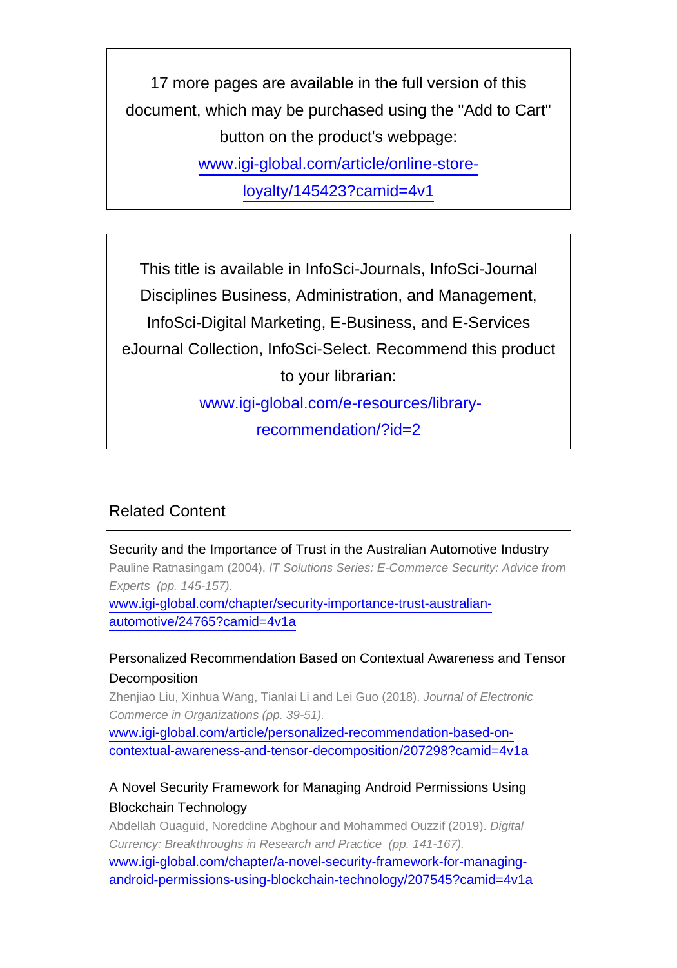17 more pages are available in the full version of this document, which may be purchased using the "Add to Cart" button on the product's webpage: [www.igi-global.com/article/online-store](http://www.igi-global.com/article/online-store-loyalty/145423?camid=4v1)[loyalty/145423?camid=4v1](http://www.igi-global.com/article/online-store-loyalty/145423?camid=4v1)

This title is available in InfoSci-Journals, InfoSci-Journal Disciplines Business, Administration, and Management, InfoSci-Digital Marketing, E-Business, and E-Services eJournal Collection, InfoSci-Select. Recommend this product to your librarian:

[www.igi-global.com/e-resources/library-](http://www.igi-global.com/e-resources/library-recommendation/?id=2)

[recommendation/?id=2](http://www.igi-global.com/e-resources/library-recommendation/?id=2)

## Related Content

Security and the Importance of Trust in the Australian Automotive Industry

Pauline Ratnasingam (2004). IT Solutions Series: E-Commerce Security: Advice from Experts (pp. 145-157).

[www.igi-global.com/chapter/security-importance-trust-australian](http://www.igi-global.com/chapter/security-importance-trust-australian-automotive/24765?camid=4v1a)[automotive/24765?camid=4v1a](http://www.igi-global.com/chapter/security-importance-trust-australian-automotive/24765?camid=4v1a)

## Personalized Recommendation Based on Contextual Awareness and Tensor **Decomposition**

Zhenjiao Liu, Xinhua Wang, Tianlai Li and Lei Guo (2018). Journal of Electronic Commerce in Organizations (pp. 39-51).

[www.igi-global.com/article/personalized-recommendation-based-on](http://www.igi-global.com/article/personalized-recommendation-based-on-contextual-awareness-and-tensor-decomposition/207298?camid=4v1a)[contextual-awareness-and-tensor-decomposition/207298?camid=4v1a](http://www.igi-global.com/article/personalized-recommendation-based-on-contextual-awareness-and-tensor-decomposition/207298?camid=4v1a)

## A Novel Security Framework for Managing Android Permissions Using Blockchain Technology

Abdellah Ouaguid, Noreddine Abghour and Mohammed Ouzzif (2019). Digital Currency: Breakthroughs in Research and Practice (pp. 141-167).

[www.igi-global.com/chapter/a-novel-security-framework-for-managing](http://www.igi-global.com/chapter/a-novel-security-framework-for-managing-android-permissions-using-blockchain-technology/207545?camid=4v1a)[android-permissions-using-blockchain-technology/207545?camid=4v1a](http://www.igi-global.com/chapter/a-novel-security-framework-for-managing-android-permissions-using-blockchain-technology/207545?camid=4v1a)